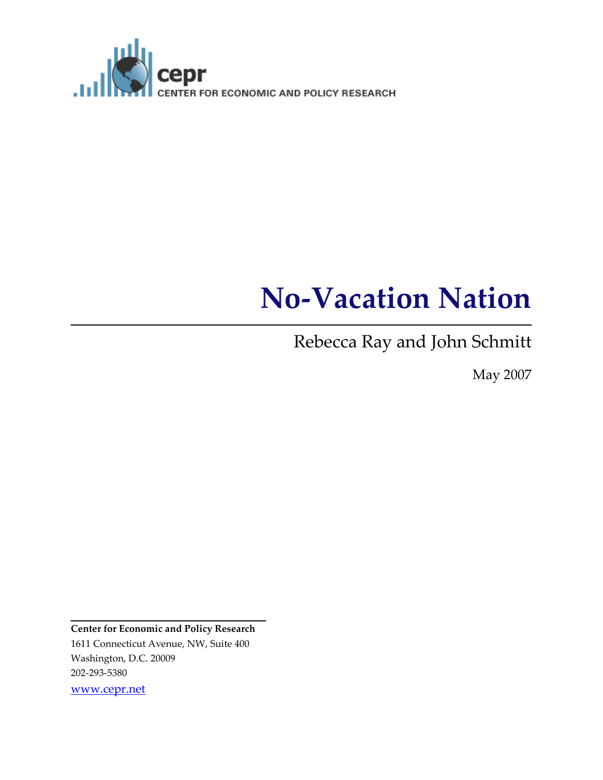

# No-Vacation Nation

Rebecca Ray and John Schmitt

May 2007

Center for Economic and Policy Research 1611 Connecticut Avenue, NW, Suite 400 Washington, D.C. 20009 202-293-5380 www.cepr.net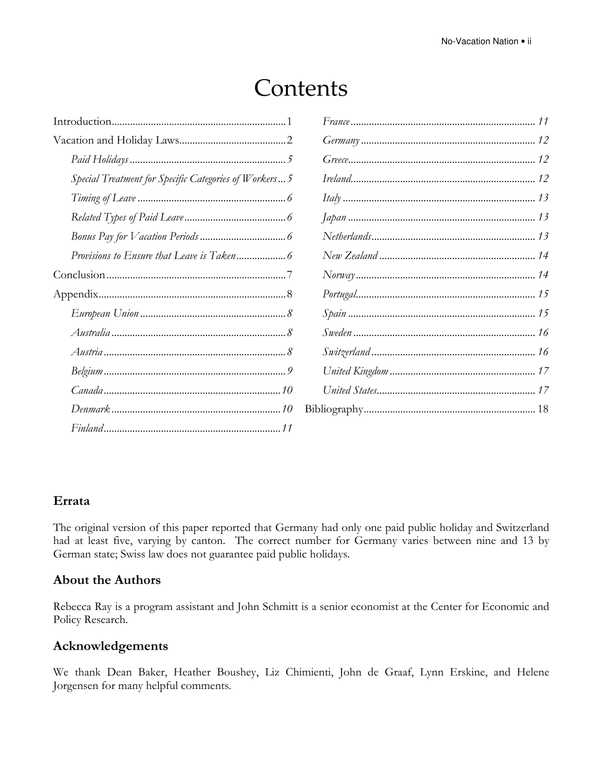# Contents

| Special Treatment for Specific Categories of Workers 5 |                  |
|--------------------------------------------------------|------------------|
|                                                        | Itally <i>11</i> |
|                                                        |                  |
|                                                        |                  |
|                                                        |                  |
|                                                        |                  |
|                                                        |                  |
|                                                        |                  |
|                                                        |                  |
|                                                        |                  |
|                                                        |                  |
|                                                        |                  |
|                                                        |                  |
|                                                        |                  |

#### Errata

The original version of this paper reported that Germany had only one paid public holiday and Switzerland had at least five, varying by canton. The correct number for Germany varies between nine and 13 by German state; Swiss law does not guarantee paid public holidays.

#### About the Authors

Rebecca Ray is a program assistant and John Schmitt is a senior economist at the Center for Economic and Policy Research.

#### Acknowledgements

We thank Dean Baker, Heather Boushey, Liz Chimienti, John de Graaf, Lynn Erskine, and Helene Jorgensen for many helpful comments.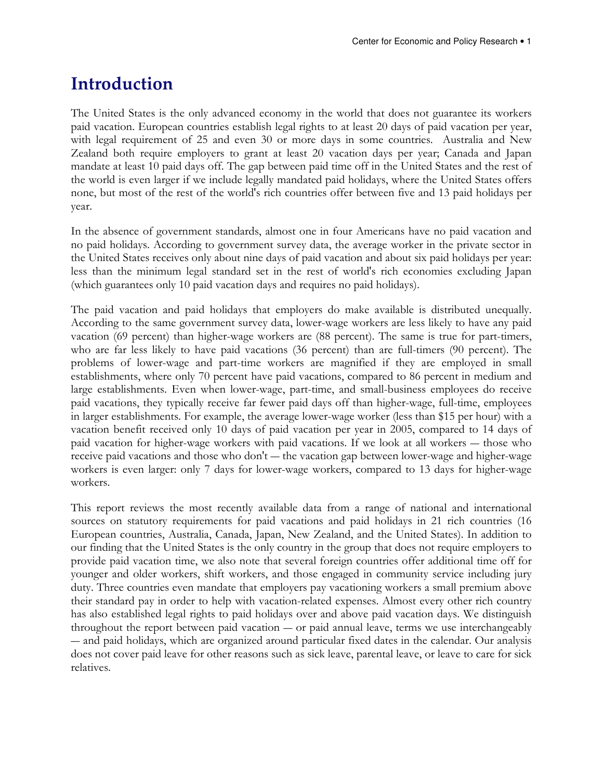## Introduction

The United States is the only advanced economy in the world that does not guarantee its workers paid vacation. European countries establish legal rights to at least 20 days of paid vacation per year, with legal requirement of 25 and even 30 or more days in some countries. Australia and New Zealand both require employers to grant at least 20 vacation days per year; Canada and Japan mandate at least 10 paid days off. The gap between paid time off in the United States and the rest of the world is even larger if we include legally mandated paid holidays, where the United States offers none, but most of the rest of the world's rich countries offer between five and 13 paid holidays per year.

In the absence of government standards, almost one in four Americans have no paid vacation and no paid holidays. According to government survey data, the average worker in the private sector in the United States receives only about nine days of paid vacation and about six paid holidays per year: less than the minimum legal standard set in the rest of world's rich economies excluding Japan (which guarantees only 10 paid vacation days and requires no paid holidays).

The paid vacation and paid holidays that employers do make available is distributed unequally. According to the same government survey data, lower-wage workers are less likely to have any paid vacation (69 percent) than higher-wage workers are (88 percent). The same is true for part-timers, who are far less likely to have paid vacations (36 percent) than are full-timers (90 percent). The problems of lower-wage and part-time workers are magnified if they are employed in small establishments, where only 70 percent have paid vacations, compared to 86 percent in medium and large establishments. Even when lower-wage, part-time, and small-business employees do receive paid vacations, they typically receive far fewer paid days off than higher-wage, full-time, employees in larger establishments. For example, the average lower-wage worker (less than \$15 per hour) with a vacation benefit received only 10 days of paid vacation per year in 2005, compared to 14 days of paid vacation for higher-wage workers with paid vacations. If we look at all workers ― those who receive paid vacations and those who don't ― the vacation gap between lower-wage and higher-wage workers is even larger: only 7 days for lower-wage workers, compared to 13 days for higher-wage workers.

This report reviews the most recently available data from a range of national and international sources on statutory requirements for paid vacations and paid holidays in 21 rich countries (16 European countries, Australia, Canada, Japan, New Zealand, and the United States). In addition to our finding that the United States is the only country in the group that does not require employers to provide paid vacation time, we also note that several foreign countries offer additional time off for younger and older workers, shift workers, and those engaged in community service including jury duty. Three countries even mandate that employers pay vacationing workers a small premium above their standard pay in order to help with vacation-related expenses. Almost every other rich country has also established legal rights to paid holidays over and above paid vacation days. We distinguish throughout the report between paid vacation ― or paid annual leave, terms we use interchangeably ― and paid holidays, which are organized around particular fixed dates in the calendar. Our analysis does not cover paid leave for other reasons such as sick leave, parental leave, or leave to care for sick relatives.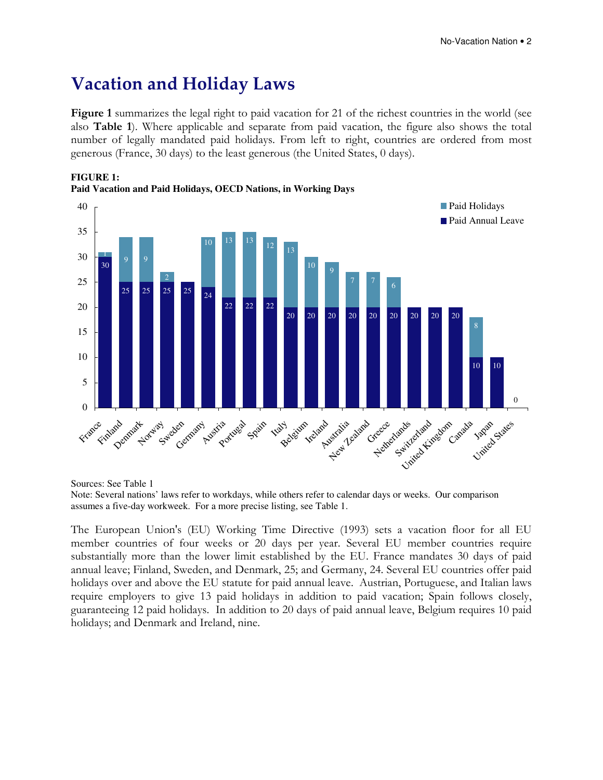### Vacation and Holiday Laws

Figure 1 summarizes the legal right to paid vacation for 21 of the richest countries in the world (see also Table 1). Where applicable and separate from paid vacation, the figure also shows the total number of legally mandated paid holidays. From left to right, countries are ordered from most generous (France, 30 days) to the least generous (the United States, 0 days).



**FIGURE 1: Paid Vacation and Paid Holidays, OECD Nations, in Working Days** 

Sources: See Table 1

Note: Several nations' laws refer to workdays, while others refer to calendar days or weeks. Our comparison assumes a five-day workweek. For a more precise listing, see Table 1.

The European Union's (EU) Working Time Directive (1993) sets a vacation floor for all EU member countries of four weeks or 20 days per year. Several EU member countries require substantially more than the lower limit established by the EU. France mandates 30 days of paid annual leave; Finland, Sweden, and Denmark, 25; and Germany, 24. Several EU countries offer paid holidays over and above the EU statute for paid annual leave. Austrian, Portuguese, and Italian laws require employers to give 13 paid holidays in addition to paid vacation; Spain follows closely, guaranteeing 12 paid holidays. In addition to 20 days of paid annual leave, Belgium requires 10 paid holidays; and Denmark and Ireland, nine.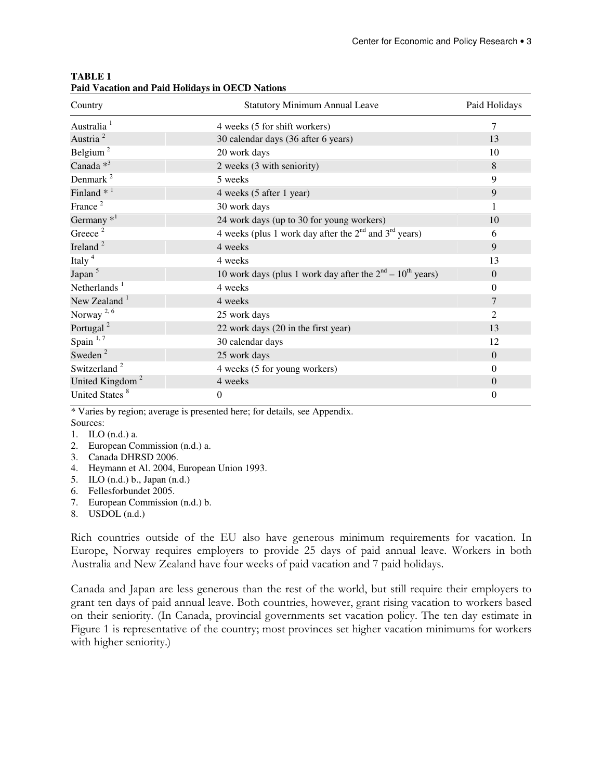| Country                     | <b>Statutory Minimum Annual Leave</b>                       | Paid Holidays  |
|-----------------------------|-------------------------------------------------------------|----------------|
| Australia <sup>1</sup>      | 4 weeks (5 for shift workers)                               | 7              |
| Austria <sup>2</sup>        | 30 calendar days (36 after 6 years)                         | 13             |
| Belgium <sup>2</sup>        | 20 work days                                                | 10             |
| Canada <sup>*3</sup>        | 2 weeks (3 with seniority)                                  | 8              |
| Denmark <sup>2</sup>        | 5 weeks                                                     | 9              |
| Finland $*$ <sup>1</sup>    | 4 weeks (5 after 1 year)                                    | 9              |
| France $2$                  | 30 work days                                                | 1              |
| Germany $*^1$               | 24 work days (up to 30 for young workers)                   | 10             |
| Greece <sup>2</sup>         | 4 weeks (plus 1 work day after the $2nd$ and $3rd$ years)   | 6              |
| Ireland <sup>2</sup>        | 4 weeks                                                     | 9              |
| Italy <sup>4</sup>          | 4 weeks                                                     | 13             |
| Japan <sup>5</sup>          | 10 work days (plus 1 work day after the $2nd - 10th$ years) | $\theta$       |
| Netherlands $1$             | 4 weeks                                                     | $\theta$       |
| New Zealand $1$             | 4 weeks                                                     | 7              |
| Norway <sup>2,6</sup>       | 25 work days                                                | $\overline{2}$ |
| Portugal <sup>2</sup>       | 22 work days (20 in the first year)                         | 13             |
| Spain $1,7$                 | 30 calendar days                                            | 12             |
| Sweden <sup>2</sup>         | 25 work days                                                | $\theta$       |
| Switzerland <sup>2</sup>    | 4 weeks (5 for young workers)                               | $\Omega$       |
| United Kingdom <sup>2</sup> | 4 weeks                                                     | $\overline{0}$ |
| United States <sup>8</sup>  | $\overline{0}$                                              | $\overline{0}$ |

#### **TABLE 1 Paid Vacation and Paid Holidays in OECD Nations**

\* Varies by region; average is presented here; for details, see Appendix. Sources:

- 1. ILO (n.d.) a.
- 2. European Commission (n.d.) a.
- 3. Canada DHRSD 2006.
- 4. Heymann et Al. 2004, European Union 1993.
- 5. ILO (n.d.) b., Japan (n.d.)
- 6. Fellesforbundet 2005.
- 7. European Commission (n.d.) b.
- 8. USDOL (n.d.)

Rich countries outside of the EU also have generous minimum requirements for vacation. In Europe, Norway requires employers to provide 25 days of paid annual leave. Workers in both Australia and New Zealand have four weeks of paid vacation and 7 paid holidays.

Canada and Japan are less generous than the rest of the world, but still require their employers to grant ten days of paid annual leave. Both countries, however, grant rising vacation to workers based on their seniority. (In Canada, provincial governments set vacation policy. The ten day estimate in Figure 1 is representative of the country; most provinces set higher vacation minimums for workers with higher seniority.)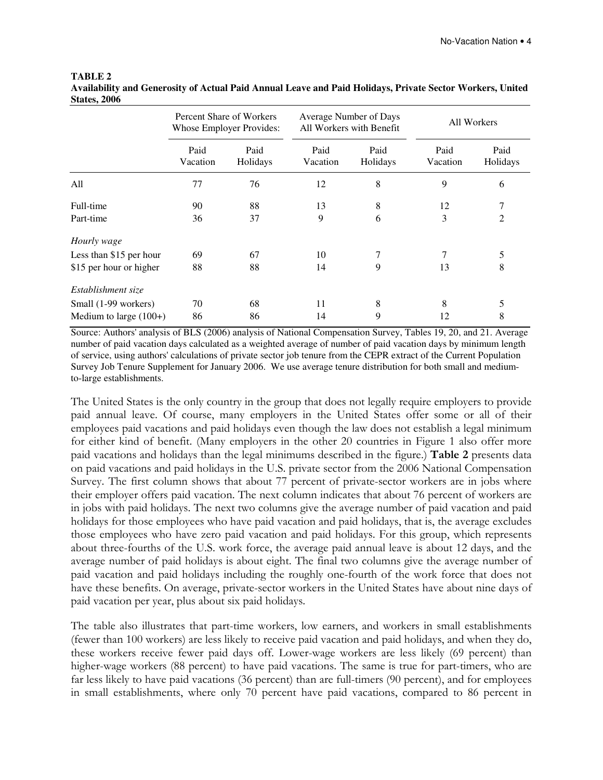#### **TABLE 2 Availability and Generosity of Actual Paid Annual Leave and Paid Holidays, Private Sector Workers, United States, 2006**

|                          | Percent Share of Workers<br><b>Whose Employer Provides:</b> |                  | Average Number of Days<br>All Workers with Benefit |                  | All Workers      |                  |
|--------------------------|-------------------------------------------------------------|------------------|----------------------------------------------------|------------------|------------------|------------------|
|                          | Paid<br>Vacation                                            | Paid<br>Holidays | Paid<br>Vacation                                   | Paid<br>Holidays | Paid<br>Vacation | Paid<br>Holidays |
| All                      | 77                                                          | 76               | 12                                                 | 8                | 9                | 6                |
| Full-time                | 90                                                          | 88               | 13                                                 | 8                | 12               | 7                |
| Part-time                | 36                                                          | 37               | 9                                                  | 6                | 3                | 2                |
| Hourly wage              |                                                             |                  |                                                    |                  |                  |                  |
| Less than \$15 per hour  | 69                                                          | 67               | 10                                                 | 7                | 7                | 5                |
| \$15 per hour or higher  | 88                                                          | 88               | 14                                                 | 9                | 13               | 8                |
| Establishment size       |                                                             |                  |                                                    |                  |                  |                  |
| Small (1-99 workers)     | 70                                                          | 68               | 11                                                 | 8                | 8                | 5                |
| Medium to large $(100+)$ | 86                                                          | 86               | 14                                                 | 9                | 12               | 8                |

Source: Authors' analysis of BLS (2006) analysis of National Compensation Survey, Tables 19, 20, and 21. Average number of paid vacation days calculated as a weighted average of number of paid vacation days by minimum length of service, using authors' calculations of private sector job tenure from the CEPR extract of the Current Population Survey Job Tenure Supplement for January 2006. We use average tenure distribution for both small and mediumto-large establishments.

The United States is the only country in the group that does not legally require employers to provide paid annual leave. Of course, many employers in the United States offer some or all of their employees paid vacations and paid holidays even though the law does not establish a legal minimum for either kind of benefit. (Many employers in the other 20 countries in Figure 1 also offer more paid vacations and holidays than the legal minimums described in the figure.) Table 2 presents data on paid vacations and paid holidays in the U.S. private sector from the 2006 National Compensation Survey. The first column shows that about 77 percent of private-sector workers are in jobs where their employer offers paid vacation. The next column indicates that about 76 percent of workers are in jobs with paid holidays. The next two columns give the average number of paid vacation and paid holidays for those employees who have paid vacation and paid holidays, that is, the average excludes those employees who have zero paid vacation and paid holidays. For this group, which represents about three-fourths of the U.S. work force, the average paid annual leave is about 12 days, and the average number of paid holidays is about eight. The final two columns give the average number of paid vacation and paid holidays including the roughly one-fourth of the work force that does not have these benefits. On average, private-sector workers in the United States have about nine days of paid vacation per year, plus about six paid holidays.

The table also illustrates that part-time workers, low earners, and workers in small establishments (fewer than 100 workers) are less likely to receive paid vacation and paid holidays, and when they do, these workers receive fewer paid days off. Lower-wage workers are less likely (69 percent) than higher-wage workers (88 percent) to have paid vacations. The same is true for part-timers, who are far less likely to have paid vacations (36 percent) than are full-timers (90 percent), and for employees in small establishments, where only 70 percent have paid vacations, compared to 86 percent in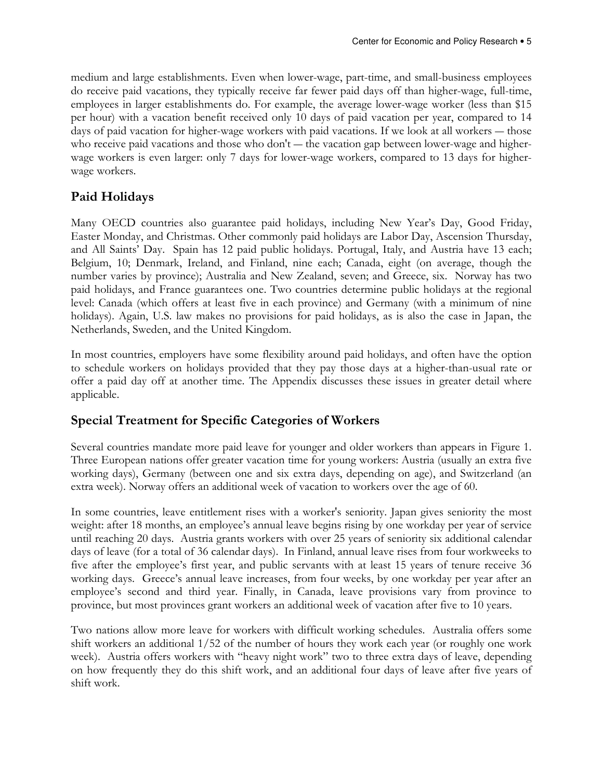medium and large establishments. Even when lower-wage, part-time, and small-business employees do receive paid vacations, they typically receive far fewer paid days off than higher-wage, full-time, employees in larger establishments do. For example, the average lower-wage worker (less than \$15 per hour) with a vacation benefit received only 10 days of paid vacation per year, compared to 14 days of paid vacation for higher-wage workers with paid vacations. If we look at all workers — those who receive paid vacations and those who don't — the vacation gap between lower-wage and higherwage workers is even larger: only 7 days for lower-wage workers, compared to 13 days for higherwage workers.

#### Paid Holidays

Many OECD countries also guarantee paid holidays, including New Year's Day, Good Friday, Easter Monday, and Christmas. Other commonly paid holidays are Labor Day, Ascension Thursday, and All Saints' Day. Spain has 12 paid public holidays. Portugal, Italy, and Austria have 13 each; Belgium, 10; Denmark, Ireland, and Finland, nine each; Canada, eight (on average, though the number varies by province); Australia and New Zealand, seven; and Greece, six. Norway has two paid holidays, and France guarantees one. Two countries determine public holidays at the regional level: Canada (which offers at least five in each province) and Germany (with a minimum of nine holidays). Again, U.S. law makes no provisions for paid holidays, as is also the case in Japan, the Netherlands, Sweden, and the United Kingdom.

In most countries, employers have some flexibility around paid holidays, and often have the option to schedule workers on holidays provided that they pay those days at a higher-than-usual rate or offer a paid day off at another time. The Appendix discusses these issues in greater detail where applicable.

#### Special Treatment for Specific Categories of Workers

Several countries mandate more paid leave for younger and older workers than appears in Figure 1. Three European nations offer greater vacation time for young workers: Austria (usually an extra five working days), Germany (between one and six extra days, depending on age), and Switzerland (an extra week). Norway offers an additional week of vacation to workers over the age of 60.

In some countries, leave entitlement rises with a worker's seniority. Japan gives seniority the most weight: after 18 months, an employee's annual leave begins rising by one workday per year of service until reaching 20 days. Austria grants workers with over 25 years of seniority six additional calendar days of leave (for a total of 36 calendar days). In Finland, annual leave rises from four workweeks to five after the employee's first year, and public servants with at least 15 years of tenure receive 36 working days. Greece's annual leave increases, from four weeks, by one workday per year after an employee's second and third year. Finally, in Canada, leave provisions vary from province to province, but most provinces grant workers an additional week of vacation after five to 10 years.

Two nations allow more leave for workers with difficult working schedules. Australia offers some shift workers an additional 1/52 of the number of hours they work each year (or roughly one work week). Austria offers workers with "heavy night work" two to three extra days of leave, depending on how frequently they do this shift work, and an additional four days of leave after five years of shift work.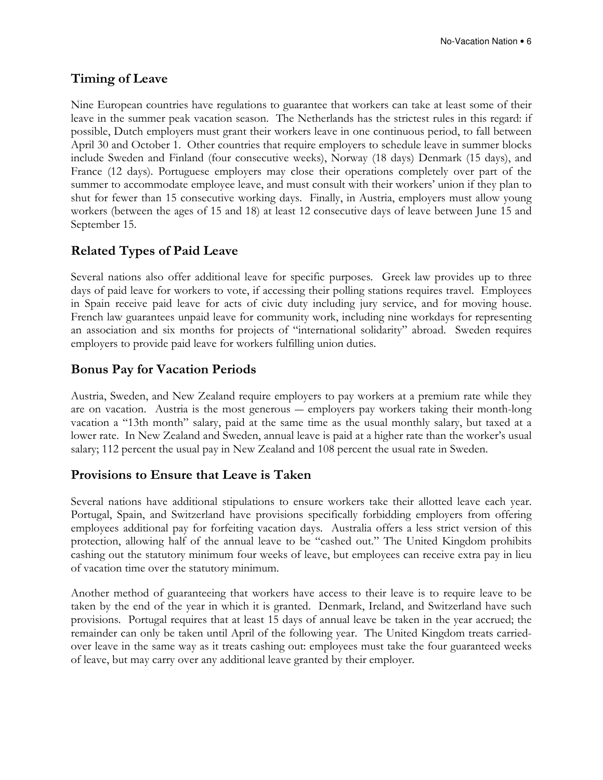#### Timing of Leave

Nine European countries have regulations to guarantee that workers can take at least some of their leave in the summer peak vacation season. The Netherlands has the strictest rules in this regard: if possible, Dutch employers must grant their workers leave in one continuous period, to fall between April 30 and October 1. Other countries that require employers to schedule leave in summer blocks include Sweden and Finland (four consecutive weeks), Norway (18 days) Denmark (15 days), and France (12 days). Portuguese employers may close their operations completely over part of the summer to accommodate employee leave, and must consult with their workers' union if they plan to shut for fewer than 15 consecutive working days. Finally, in Austria, employers must allow young workers (between the ages of 15 and 18) at least 12 consecutive days of leave between June 15 and September 15.

#### Related Types of Paid Leave

Several nations also offer additional leave for specific purposes. Greek law provides up to three days of paid leave for workers to vote, if accessing their polling stations requires travel. Employees in Spain receive paid leave for acts of civic duty including jury service, and for moving house. French law guarantees unpaid leave for community work, including nine workdays for representing an association and six months for projects of "international solidarity" abroad. Sweden requires employers to provide paid leave for workers fulfilling union duties.

#### Bonus Pay for Vacation Periods

Austria, Sweden, and New Zealand require employers to pay workers at a premium rate while they are on vacation. Austria is the most generous ― employers pay workers taking their month-long vacation a "13th month" salary, paid at the same time as the usual monthly salary, but taxed at a lower rate. In New Zealand and Sweden, annual leave is paid at a higher rate than the worker's usual salary; 112 percent the usual pay in New Zealand and 108 percent the usual rate in Sweden.

#### Provisions to Ensure that Leave is Taken

Several nations have additional stipulations to ensure workers take their allotted leave each year. Portugal, Spain, and Switzerland have provisions specifically forbidding employers from offering employees additional pay for forfeiting vacation days. Australia offers a less strict version of this protection, allowing half of the annual leave to be "cashed out." The United Kingdom prohibits cashing out the statutory minimum four weeks of leave, but employees can receive extra pay in lieu of vacation time over the statutory minimum.

Another method of guaranteeing that workers have access to their leave is to require leave to be taken by the end of the year in which it is granted. Denmark, Ireland, and Switzerland have such provisions. Portugal requires that at least 15 days of annual leave be taken in the year accrued; the remainder can only be taken until April of the following year. The United Kingdom treats carriedover leave in the same way as it treats cashing out: employees must take the four guaranteed weeks of leave, but may carry over any additional leave granted by their employer.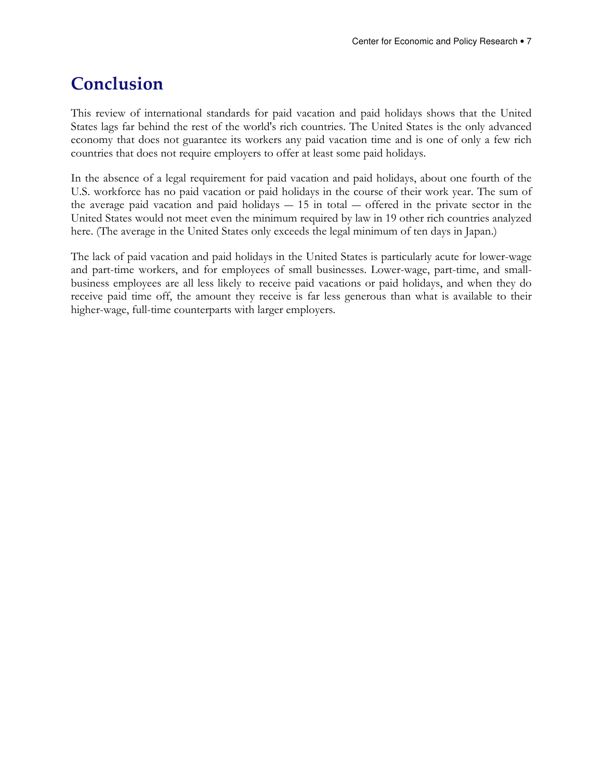# Conclusion

This review of international standards for paid vacation and paid holidays shows that the United States lags far behind the rest of the world's rich countries. The United States is the only advanced economy that does not guarantee its workers any paid vacation time and is one of only a few rich countries that does not require employers to offer at least some paid holidays.

In the absence of a legal requirement for paid vacation and paid holidays, about one fourth of the U.S. workforce has no paid vacation or paid holidays in the course of their work year. The sum of the average paid vacation and paid holidays  $-15$  in total  $-$  offered in the private sector in the United States would not meet even the minimum required by law in 19 other rich countries analyzed here. (The average in the United States only exceeds the legal minimum of ten days in Japan.)

The lack of paid vacation and paid holidays in the United States is particularly acute for lower-wage and part-time workers, and for employees of small businesses. Lower-wage, part-time, and smallbusiness employees are all less likely to receive paid vacations or paid holidays, and when they do receive paid time off, the amount they receive is far less generous than what is available to their higher-wage, full-time counterparts with larger employers.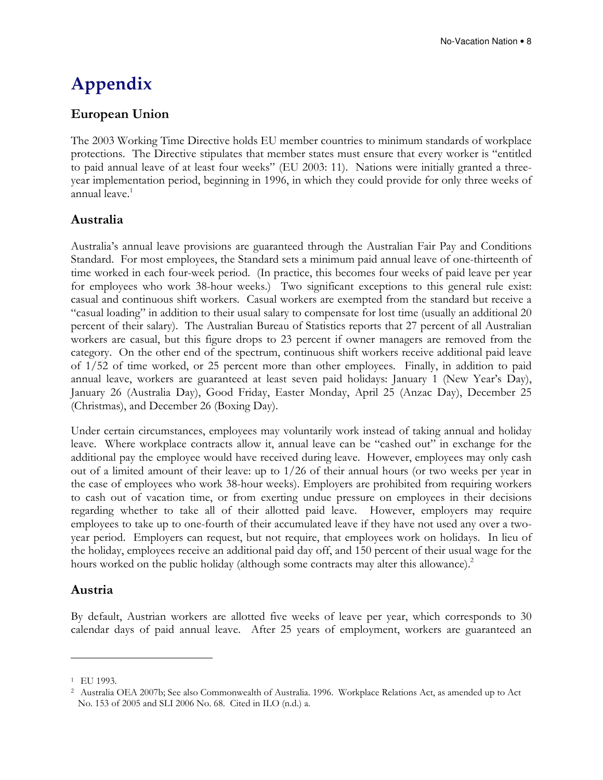# Appendix

#### European Union

The 2003 Working Time Directive holds EU member countries to minimum standards of workplace protections. The Directive stipulates that member states must ensure that every worker is "entitled to paid annual leave of at least four weeks" (EU 2003: 11). Nations were initially granted a threeyear implementation period, beginning in 1996, in which they could provide for only three weeks of annual leave.<sup>1</sup>

#### Australia

Australia's annual leave provisions are guaranteed through the Australian Fair Pay and Conditions Standard. For most employees, the Standard sets a minimum paid annual leave of one-thirteenth of time worked in each four-week period. (In practice, this becomes four weeks of paid leave per year for employees who work 38-hour weeks.) Two significant exceptions to this general rule exist: casual and continuous shift workers. Casual workers are exempted from the standard but receive a "casual loading" in addition to their usual salary to compensate for lost time (usually an additional 20 percent of their salary). The Australian Bureau of Statistics reports that 27 percent of all Australian workers are casual, but this figure drops to 23 percent if owner managers are removed from the category. On the other end of the spectrum, continuous shift workers receive additional paid leave of 1/52 of time worked, or 25 percent more than other employees. Finally, in addition to paid annual leave, workers are guaranteed at least seven paid holidays: January 1 (New Year's Day), January 26 (Australia Day), Good Friday, Easter Monday, April 25 (Anzac Day), December 25 (Christmas), and December 26 (Boxing Day).

Under certain circumstances, employees may voluntarily work instead of taking annual and holiday leave. Where workplace contracts allow it, annual leave can be "cashed out" in exchange for the additional pay the employee would have received during leave. However, employees may only cash out of a limited amount of their leave: up to 1/26 of their annual hours (or two weeks per year in the case of employees who work 38-hour weeks). Employers are prohibited from requiring workers to cash out of vacation time, or from exerting undue pressure on employees in their decisions regarding whether to take all of their allotted paid leave. However, employers may require employees to take up to one-fourth of their accumulated leave if they have not used any over a twoyear period. Employers can request, but not require, that employees work on holidays. In lieu of the holiday, employees receive an additional paid day off, and 150 percent of their usual wage for the hours worked on the public holiday (although some contracts may alter this allowance). $^{2}$ 

#### Austria

By default, Austrian workers are allotted five weeks of leave per year, which corresponds to 30 calendar days of paid annual leave. After 25 years of employment, workers are guaranteed an

<sup>1</sup> EU 1993.

<sup>2</sup> Australia OEA 2007b; See also Commonwealth of Australia. 1996. Workplace Relations Act, as amended up to Act No. 153 of 2005 and SLI 2006 No. 68. Cited in ILO (n.d.) a.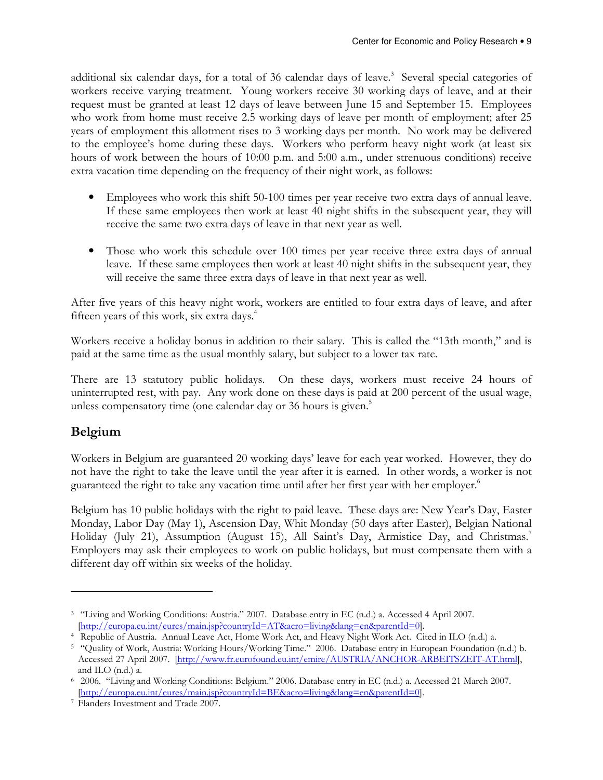additional six calendar days, for a total of 36 calendar days of leave.<sup>3</sup> Several special categories of workers receive varying treatment. Young workers receive 30 working days of leave, and at their request must be granted at least 12 days of leave between June 15 and September 15. Employees who work from home must receive 2.5 working days of leave per month of employment; after 25 years of employment this allotment rises to 3 working days per month. No work may be delivered to the employee's home during these days. Workers who perform heavy night work (at least six hours of work between the hours of 10:00 p.m. and 5:00 a.m., under strenuous conditions) receive extra vacation time depending on the frequency of their night work, as follows:

- Employees who work this shift 50-100 times per year receive two extra days of annual leave. If these same employees then work at least 40 night shifts in the subsequent year, they will receive the same two extra days of leave in that next year as well.
- Those who work this schedule over 100 times per year receive three extra days of annual leave. If these same employees then work at least 40 night shifts in the subsequent year, they will receive the same three extra days of leave in that next year as well.

After five years of this heavy night work, workers are entitled to four extra days of leave, and after fifteen years of this work, six extra days.<sup>4</sup>

Workers receive a holiday bonus in addition to their salary. This is called the "13th month," and is paid at the same time as the usual monthly salary, but subject to a lower tax rate.

There are 13 statutory public holidays. On these days, workers must receive 24 hours of uninterrupted rest, with pay. Any work done on these days is paid at 200 percent of the usual wage, unless compensatory time (one calendar day or 36 hours is given.<sup>5</sup>

#### Belgium

 $\overline{a}$ 

Workers in Belgium are guaranteed 20 working days' leave for each year worked. However, they do not have the right to take the leave until the year after it is earned. In other words, a worker is not guaranteed the right to take any vacation time until after her first year with her employer.<sup>6</sup>

Belgium has 10 public holidays with the right to paid leave. These days are: New Year's Day, Easter Monday, Labor Day (May 1), Ascension Day, Whit Monday (50 days after Easter), Belgian National Holiday (July 21), Assumption (August 15), All Saint's Day, Armistice Day, and Christmas.<sup>7</sup> Employers may ask their employees to work on public holidays, but must compensate them with a different day off within six weeks of the holiday.

<sup>3</sup> "Living and Working Conditions: Austria." 2007. Database entry in EC (n.d.) a. Accessed 4 April 2007. [http://europa.eu.int/eures/main.jsp?countryId=AT&acro=living&lang=en&parentId=0].

<sup>4</sup> Republic of Austria. Annual Leave Act, Home Work Act, and Heavy Night Work Act. Cited in ILO (n.d.) a.

<sup>5</sup> "Quality of Work, Austria: Working Hours/Working Time." 2006. Database entry in European Foundation (n.d.) b. Accessed 27 April 2007. [http://www.fr.eurofound.eu.int/emire/AUSTRIA/ANCHOR-ARBEITSZEIT-AT.html], and ILO (n.d.) a.

<sup>6</sup> 2006. "Living and Working Conditions: Belgium." 2006. Database entry in EC (n.d.) a. Accessed 21 March 2007. [http://europa.eu.int/eures/main.jsp?countryId=BE&acro=living&lang=en&parentId=0].

<sup>7</sup> Flanders Investment and Trade 2007.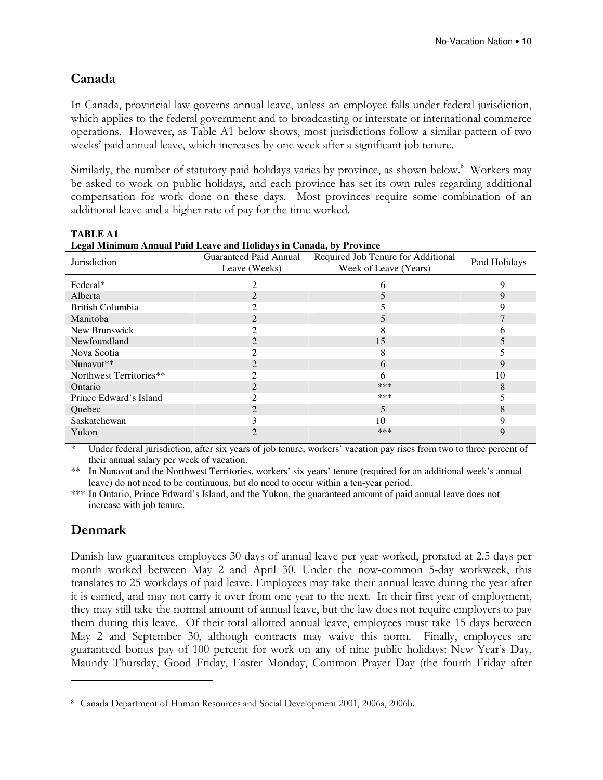#### Canada

In Canada, provincial law governs annual leave, unless an employee falls under federal jurisdiction, which applies to the federal government and to broadcasting or interstate or international commerce operations. However, as Table A1 below shows, most jurisdictions follow a similar pattern of two weeks' paid annual leave, which increases by one week after a significant job tenure.

Similarly, the number of statutory paid holidays varies by province, as shown below.<sup>8</sup> Workers may be asked to work on public holidays, and each province has set its own rules regarding additional compensation for work done on these days. Most provinces require some combination of an additional leave and a higher rate of pay for the time worked.

| Legal Minimum Annual Paid Leave and Holidays in Canada, by Province |                |                                                           |               |  |  |  |
|---------------------------------------------------------------------|----------------|-----------------------------------------------------------|---------------|--|--|--|
| Jurisdiction                                                        |                | Guaranteed Paid Annual Required Job Tenure for Additional | Paid Holidays |  |  |  |
|                                                                     | Leave (Weeks)  | Week of Leave (Years)                                     |               |  |  |  |
| Federal*                                                            |                | 6                                                         | q             |  |  |  |
| Alberta                                                             |                |                                                           | 9             |  |  |  |
| British Columbia                                                    |                |                                                           |               |  |  |  |
| Manitoba                                                            | 2              |                                                           |               |  |  |  |
| New Brunswick                                                       |                | δ                                                         |               |  |  |  |
| Newfoundland                                                        | $\mathfrak{D}$ | 15                                                        |               |  |  |  |
| Nova Scotia                                                         | 2              | 8                                                         |               |  |  |  |
| Nunavut**                                                           | $\mathfrak{D}$ | 6                                                         | 9             |  |  |  |
| Northwest Territories**                                             |                | 6                                                         | 10            |  |  |  |
| Ontario                                                             | 2              | ***                                                       | 8             |  |  |  |
| Prince Edward's Island                                              |                | ***                                                       |               |  |  |  |
| Quebec                                                              | $\mathfrak{D}$ | 5                                                         | 8             |  |  |  |
| Saskatchewan                                                        |                | 10                                                        |               |  |  |  |
| Yukon                                                               |                | ***                                                       | 9             |  |  |  |

**TABLE A1 Legal Minimum Annual Paid Leave and Holidays in Canada, by Province** 

Under federal jurisdiction, after six years of job tenure, workers' vacation pay rises from two to three percent of their annual salary per week of vacation.

\*\* In Nunavut and the Northwest Territories, workers' six years' tenure (required for an additional week's annual leave) do not need to be continuous, but do need to occur within a ten-year period.

\*\*\* In Ontario, Prince Edward's Island, and the Yukon, the guaranteed amount of paid annual leave does not increase with job tenure.

#### Denmark

 $\overline{a}$ 

Danish law guarantees employees 30 days of annual leave per year worked, prorated at 2.5 days per month worked between May 2 and April 30. Under the now-common 5-day workweek, this translates to 25 workdays of paid leave. Employees may take their annual leave during the year after it is earned, and may not carry it over from one year to the next. In their first year of employment, they may still take the normal amount of annual leave, but the law does not require employers to pay them during this leave. Of their total allotted annual leave, employees must take 15 days between May 2 and September 30, although contracts may waive this norm. Finally, employees are guaranteed bonus pay of 100 percent for work on any of nine public holidays: New Year's Day, Maundy Thursday, Good Friday, Easter Monday, Common Prayer Day (the fourth Friday after

<sup>8</sup> Canada Department of Human Resources and Social Development 2001, 2006a, 2006b.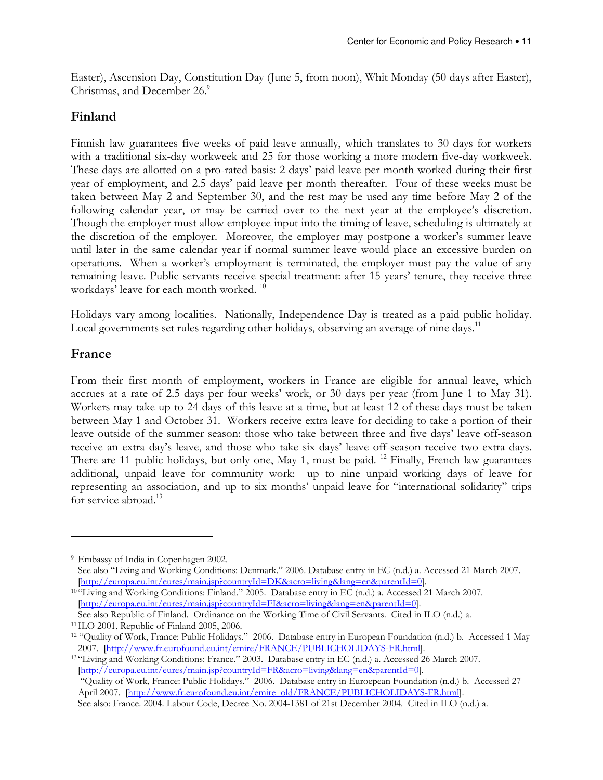Easter), Ascension Day, Constitution Day (June 5, from noon), Whit Monday (50 days after Easter), Christmas, and December 26.<sup>9</sup>

#### Finland

Finnish law guarantees five weeks of paid leave annually, which translates to 30 days for workers with a traditional six-day workweek and 25 for those working a more modern five-day workweek. These days are allotted on a pro-rated basis: 2 days' paid leave per month worked during their first year of employment, and 2.5 days' paid leave per month thereafter. Four of these weeks must be taken between May 2 and September 30, and the rest may be used any time before May 2 of the following calendar year, or may be carried over to the next year at the employee's discretion. Though the employer must allow employee input into the timing of leave, scheduling is ultimately at the discretion of the employer. Moreover, the employer may postpone a worker's summer leave until later in the same calendar year if normal summer leave would place an excessive burden on operations. When a worker's employment is terminated, the employer must pay the value of any remaining leave. Public servants receive special treatment: after 15 years' tenure, they receive three workdays' leave for each month worked.<sup>10</sup>

Holidays vary among localities. Nationally, Independence Day is treated as a paid public holiday. Local governments set rules regarding other holidays, observing an average of nine days.<sup>11</sup>

#### France

 $\overline{a}$ 

From their first month of employment, workers in France are eligible for annual leave, which accrues at a rate of 2.5 days per four weeks' work, or 30 days per year (from June 1 to May 31). Workers may take up to 24 days of this leave at a time, but at least 12 of these days must be taken between May 1 and October 31. Workers receive extra leave for deciding to take a portion of their leave outside of the summer season: those who take between three and five days' leave off-season receive an extra day's leave, and those who take six days' leave off-season receive two extra days. There are 11 public holidays, but only one, May 1, must be paid. <sup>12</sup> Finally, French law guarantees additional, unpaid leave for community work: up to nine unpaid working days of leave for representing an association, and up to six months' unpaid leave for "international solidarity" trips for service abroad.<sup>13</sup>

<sup>9</sup> Embassy of India in Copenhagen 2002. See also "Living and Working Conditions: Denmark." 2006. Database entry in EC (n.d.) a. Accessed 21 March 2007. [http://europa.eu.int/eures/main.jsp?countryId=DK&acro=living&lang=en&parentId=0].

<sup>10</sup> "Living and Working Conditions: Finland." 2005. Database entry in EC (n.d.) a. Accessed 21 March 2007. [http://europa.eu.int/eures/main.jsp?countryId=FI&acro=living&lang=en&parentId=0]. See also Republic of Finland. Ordinance on the Working Time of Civil Servants. Cited in ILO (n.d.) a.

<sup>11</sup> ILO 2001, Republic of Finland 2005, 2006.

<sup>12</sup> "Quality of Work, France: Public Holidays." 2006. Database entry in European Foundation (n.d.) b. Accessed 1 May 2007. [http://www.fr.eurofound.eu.int/emire/FRANCE/PUBLICHOLIDAYS-FR.html].

<sup>13</sup> "Living and Working Conditions: France." 2003. Database entry in EC (n.d.) a. Accessed 26 March 2007. [http://europa.eu.int/eures/main.jsp?countryId=FR&acro=living&lang=en&parentId=0]. "Quality of Work, France: Public Holidays." 2006. Database entry in Euroepean Foundation (n.d.) b. Accessed 27

April 2007. [http://www.fr.eurofound.eu.int/emire\_old/FRANCE/PUBLICHOLIDAYS-FR.html].

See also: France. 2004. Labour Code, Decree No. 2004-1381 of 21st December 2004. Cited in ILO (n.d.) a.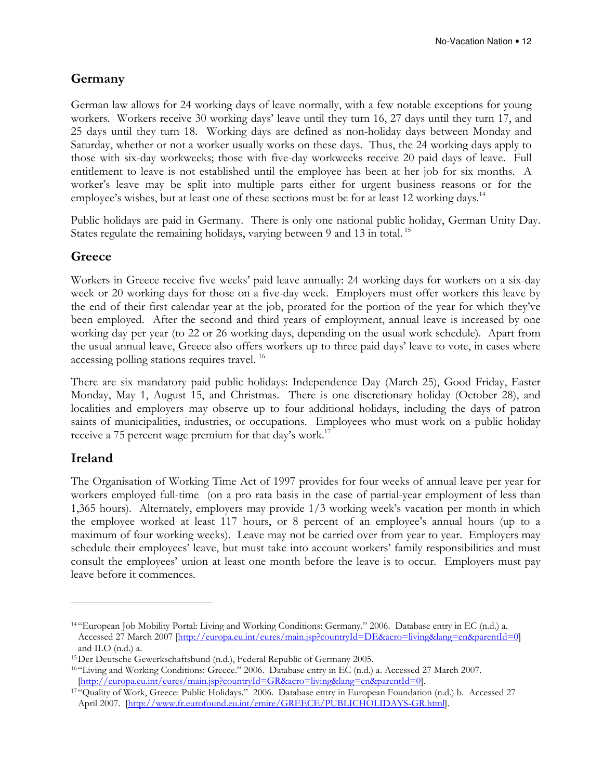#### Germany

German law allows for 24 working days of leave normally, with a few notable exceptions for young workers. Workers receive 30 working days' leave until they turn 16, 27 days until they turn 17, and 25 days until they turn 18. Working days are defined as non-holiday days between Monday and Saturday, whether or not a worker usually works on these days. Thus, the 24 working days apply to those with six-day workweeks; those with five-day workweeks receive 20 paid days of leave. Full entitlement to leave is not established until the employee has been at her job for six months. A worker's leave may be split into multiple parts either for urgent business reasons or for the employee's wishes, but at least one of these sections must be for at least 12 working days.<sup>14</sup>

Public holidays are paid in Germany. There is only one national public holiday, German Unity Day. States regulate the remaining holidays, varying between 9 and 13 in total.<sup>15</sup>

#### **Greece**

Workers in Greece receive five weeks' paid leave annually: 24 working days for workers on a six-day week or 20 working days for those on a five-day week. Employers must offer workers this leave by the end of their first calendar year at the job, prorated for the portion of the year for which they've been employed. After the second and third years of employment, annual leave is increased by one working day per year (to 22 or 26 working days, depending on the usual work schedule). Apart from the usual annual leave, Greece also offers workers up to three paid days' leave to vote, in cases where accessing polling stations requires travel.<sup>16</sup>

There are six mandatory paid public holidays: Independence Day (March 25), Good Friday, Easter Monday, May 1, August 15, and Christmas. There is one discretionary holiday (October 28), and localities and employers may observe up to four additional holidays, including the days of patron saints of municipalities, industries, or occupations. Employees who must work on a public holiday receive a 75 percent wage premium for that day's work.<sup>17</sup>

#### Ireland

 $\overline{a}$ 

The Organisation of Working Time Act of 1997 provides for four weeks of annual leave per year for workers employed full-time (on a pro rata basis in the case of partial-year employment of less than 1,365 hours). Alternately, employers may provide 1/3 working week's vacation per month in which the employee worked at least 117 hours, or 8 percent of an employee's annual hours (up to a maximum of four working weeks). Leave may not be carried over from year to year. Employers may schedule their employees' leave, but must take into account workers' family responsibilities and must consult the employees' union at least one month before the leave is to occur. Employers must pay leave before it commences.

<sup>14</sup> "European Job Mobility Portal: Living and Working Conditions: Germany." 2006. Database entry in EC (n.d.) a. Accessed 27 March 2007 [http://europa.eu.int/eures/main.jsp?countryId=DE&acro=living&lang=en&parentId=0] and ILO (n.d.) a.

<sup>15</sup> Der Deutsche Gewerkschaftsbund (n.d.), Federal Republic of Germany 2005.

<sup>16</sup> "Living and Working Conditions: Greece." 2006. Database entry in EC (n.d.) a. Accessed 27 March 2007. [http://europa.eu.int/eures/main.jsp?countryId=GR&acro=living&lang=en&parentId=0].

<sup>&</sup>lt;sup>17 "</sup>Quality of Work, Greece: Public Holidays." 2006. Database entry in European Foundation (n.d.) b. Accessed 27 April 2007. [http://www.fr.eurofound.eu.int/emire/GREECE/PUBLICHOLIDAYS-GR.html].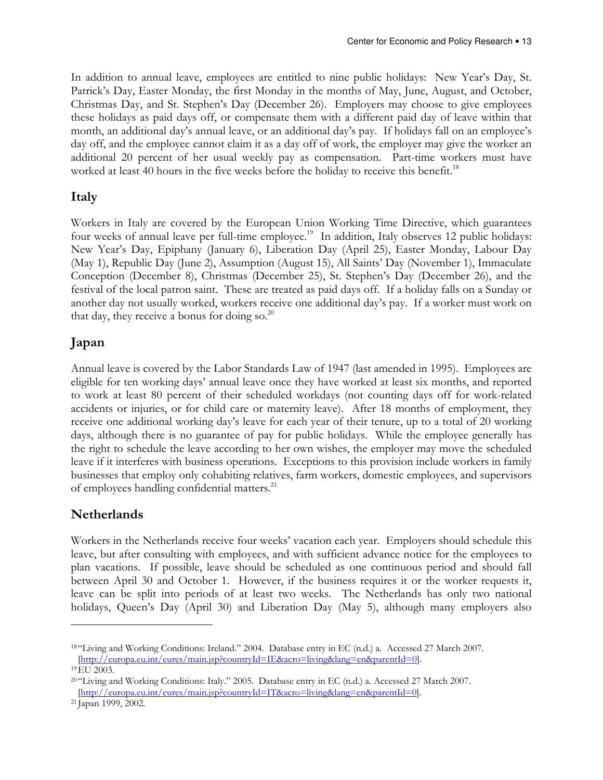In addition to annual leave, employees are entitled to nine public holidays: New Year's Day, St. Patrick's Day, Easter Monday, the first Monday in the months of May, June, August, and October, Christmas Day, and St. Stephen's Day (December 26). Employers may choose to give employees these holidays as paid days off, or compensate them with a different paid day of leave within that month, an additional day's annual leave, or an additional day's pay. If holidays fall on an employee's day off, and the employee cannot claim it as a day off of work, the employer may give the worker an additional 20 percent of her usual weekly pay as compensation. Part-time workers must have worked at least 40 hours in the five weeks before the holiday to receive this benefit.<sup>18</sup>

#### Italy

Workers in Italy are covered by the European Union Working Time Directive, which guarantees four weeks of annual leave per full-time employee.<sup>19</sup> In addition, Italy observes 12 public holidays: New Year's Day, Epiphany (January 6), Liberation Day (April 25), Easter Monday, Labour Day (May 1), Republic Day (June 2), Assumption (August 15), All Saints' Day (November 1), Immaculate Conception (December 8), Christmas (December 25), St. Stephen's Day (December 26), and the festival of the local patron saint. These are treated as paid days off. If a holiday falls on a Sunday or another day not usually worked, workers receive one additional day's pay. If a worker must work on that day, they receive a bonus for doing so. $^{20}$ 

#### Japan

Annual leave is covered by the Labor Standards Law of 1947 (last amended in 1995). Employees are eligible for ten working days' annual leave once they have worked at least six months, and reported to work at least 80 percent of their scheduled workdays (not counting days off for work-related accidents or injuries, or for child care or maternity leave). After 18 months of employment, they receive one additional working day's leave for each year of their tenure, up to a total of 20 working days, although there is no guarantee of pay for public holidays. While the employee generally has the right to schedule the leave according to her own wishes, the employer may move the scheduled leave if it interferes with business operations. Exceptions to this provision include workers in family businesses that employ only cohabiting relatives, farm workers, domestic employees, and supervisors of employees handling confidential matters.<sup>21</sup>

#### Netherlands

Workers in the Netherlands receive four weeks' vacation each year. Employers should schedule this leave, but after consulting with employees, and with sufficient advance notice for the employees to plan vacations. If possible, leave should be scheduled as one continuous period and should fall between April 30 and October 1. However, if the business requires it or the worker requests it, leave can be split into periods of at least two weeks. The Netherlands has only two national holidays, Queen's Day (April 30) and Liberation Day (May 5), although many employers also

<sup>18</sup> "Living and Working Conditions: Ireland." 2004. Database entry in EC (n.d.) a. Accessed 27 March 2007. [http://europa.eu.int/eures/main.jsp?countryId=IE&acro=living&lang=en&parentId=0]. <sup>19</sup> EU 2003.

<sup>20</sup> "Living and Working Conditions: Italy." 2005. Database entry in EC (n.d.) a. Accessed 27 March 2007. [http://europa.eu.int/eures/main.jsp?countryId=IT&acro=living&lang=en&parentId=0].

<sup>21</sup> Japan 1999, 2002.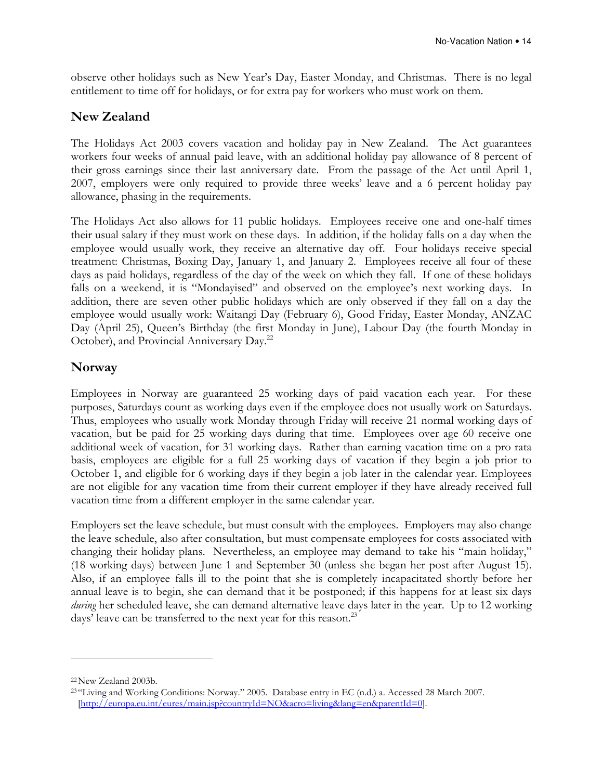observe other holidays such as New Year's Day, Easter Monday, and Christmas. There is no legal entitlement to time off for holidays, or for extra pay for workers who must work on them.

#### New Zealand

The Holidays Act 2003 covers vacation and holiday pay in New Zealand. The Act guarantees workers four weeks of annual paid leave, with an additional holiday pay allowance of 8 percent of their gross earnings since their last anniversary date. From the passage of the Act until April 1, 2007, employers were only required to provide three weeks' leave and a 6 percent holiday pay allowance, phasing in the requirements.

The Holidays Act also allows for 11 public holidays. Employees receive one and one-half times their usual salary if they must work on these days. In addition, if the holiday falls on a day when the employee would usually work, they receive an alternative day off. Four holidays receive special treatment: Christmas, Boxing Day, January 1, and January 2. Employees receive all four of these days as paid holidays, regardless of the day of the week on which they fall. If one of these holidays falls on a weekend, it is "Mondayised" and observed on the employee's next working days. In addition, there are seven other public holidays which are only observed if they fall on a day the employee would usually work: Waitangi Day (February 6), Good Friday, Easter Monday, ANZAC Day (April 25), Queen's Birthday (the first Monday in June), Labour Day (the fourth Monday in October), and Provincial Anniversary Day.<sup>22</sup>

#### Norway

Employees in Norway are guaranteed 25 working days of paid vacation each year. For these purposes, Saturdays count as working days even if the employee does not usually work on Saturdays. Thus, employees who usually work Monday through Friday will receive 21 normal working days of vacation, but be paid for 25 working days during that time. Employees over age 60 receive one additional week of vacation, for 31 working days. Rather than earning vacation time on a pro rata basis, employees are eligible for a full 25 working days of vacation if they begin a job prior to October 1, and eligible for 6 working days if they begin a job later in the calendar year. Employees are not eligible for any vacation time from their current employer if they have already received full vacation time from a different employer in the same calendar year.

Employers set the leave schedule, but must consult with the employees. Employers may also change the leave schedule, also after consultation, but must compensate employees for costs associated with changing their holiday plans. Nevertheless, an employee may demand to take his "main holiday," (18 working days) between June 1 and September 30 (unless she began her post after August 15). Also, if an employee falls ill to the point that she is completely incapacitated shortly before her annual leave is to begin, she can demand that it be postponed; if this happens for at least six days during her scheduled leave, she can demand alternative leave days later in the year. Up to 12 working days' leave can be transferred to the next year for this reason.<sup>23</sup>

<sup>22</sup> New Zealand 2003b.

<sup>23</sup> "Living and Working Conditions: Norway." 2005. Database entry in EC (n.d.) a. Accessed 28 March 2007. [http://europa.eu.int/eures/main.jsp?countryId=NO&acro=living&lang=en&parentId=0].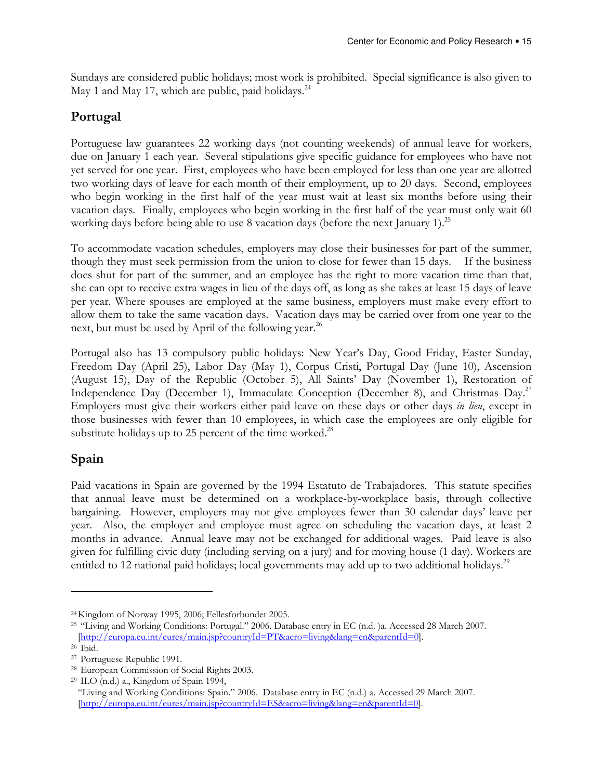Sundays are considered public holidays; most work is prohibited. Special significance is also given to May 1 and May 17, which are public, paid holidays.<sup>24</sup>

#### Portugal

Portuguese law guarantees 22 working days (not counting weekends) of annual leave for workers, due on January 1 each year. Several stipulations give specific guidance for employees who have not yet served for one year. First, employees who have been employed for less than one year are allotted two working days of leave for each month of their employment, up to 20 days. Second, employees who begin working in the first half of the year must wait at least six months before using their vacation days. Finally, employees who begin working in the first half of the year must only wait 60 working days before being able to use 8 vacation days (before the next January 1).<sup>25</sup>

To accommodate vacation schedules, employers may close their businesses for part of the summer, though they must seek permission from the union to close for fewer than 15 days. If the business does shut for part of the summer, and an employee has the right to more vacation time than that, she can opt to receive extra wages in lieu of the days off, as long as she takes at least 15 days of leave per year. Where spouses are employed at the same business, employers must make every effort to allow them to take the same vacation days. Vacation days may be carried over from one year to the next, but must be used by April of the following year.<sup>26</sup>

Portugal also has 13 compulsory public holidays: New Year's Day, Good Friday, Easter Sunday, Freedom Day (April 25), Labor Day (May 1), Corpus Cristi, Portugal Day (June 10), Ascension (August 15), Day of the Republic (October 5), All Saints' Day (November 1), Restoration of Independence Day (December 1), Immaculate Conception (December 8), and Christmas Day.<sup>27</sup> Employers must give their workers either paid leave on these days or other days in lieu, except in those businesses with fewer than 10 employees, in which case the employees are only eligible for substitute holidays up to 25 percent of the time worked. $^{28}$ 

#### Spain

 $\overline{a}$ 

Paid vacations in Spain are governed by the 1994 Estatuto de Trabajadores. This statute specifies that annual leave must be determined on a workplace-by-workplace basis, through collective bargaining. However, employers may not give employees fewer than 30 calendar days' leave per year. Also, the employer and employee must agree on scheduling the vacation days, at least 2 months in advance. Annual leave may not be exchanged for additional wages. Paid leave is also given for fulfilling civic duty (including serving on a jury) and for moving house (1 day). Workers are entitled to 12 national paid holidays; local governments may add up to two additional holidays.<sup>29</sup>

<sup>24</sup> Kingdom of Norway 1995, 2006; Fellesforbundet 2005.

<sup>&</sup>lt;sup>25</sup> "Living and Working Conditions: Portugal." 2006. Database entry in EC (n.d. )a. Accessed 28 March 2007. [http://europa.eu.int/eures/main.jsp?countryId=PT&acro=living&lang=en&parentId=0]. <sup>26</sup> Ibid.

<sup>27</sup> Portuguese Republic 1991.

<sup>28</sup> European Commission of Social Rights 2003.

<sup>29</sup> ILO (n.d.) a., Kingdom of Spain 1994,

<sup>&</sup>quot;Living and Working Conditions: Spain." 2006. Database entry in EC (n.d.) a. Accessed 29 March 2007. [http://europa.eu.int/eures/main.jsp?countryId=ES&acro=living&lang=en&parentId=0].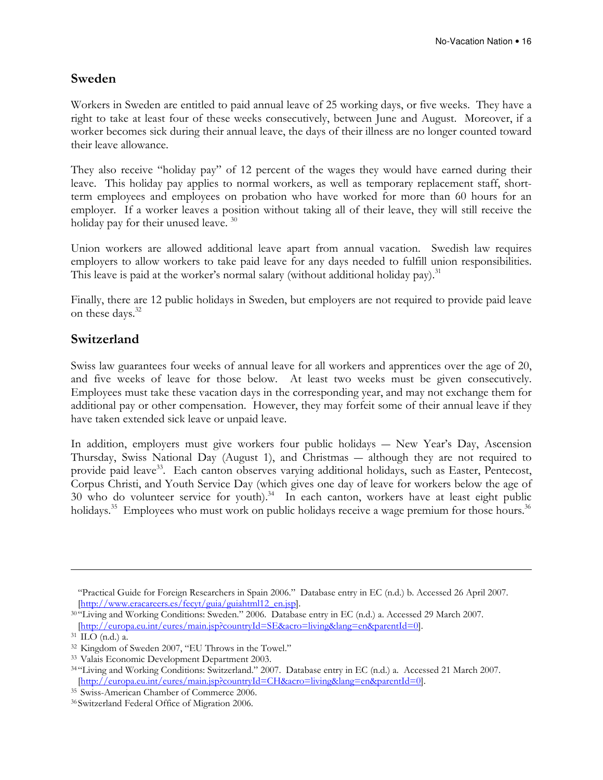#### Sweden

Workers in Sweden are entitled to paid annual leave of 25 working days, or five weeks. They have a right to take at least four of these weeks consecutively, between June and August. Moreover, if a worker becomes sick during their annual leave, the days of their illness are no longer counted toward their leave allowance.

They also receive "holiday pay" of 12 percent of the wages they would have earned during their leave. This holiday pay applies to normal workers, as well as temporary replacement staff, shortterm employees and employees on probation who have worked for more than 60 hours for an employer. If a worker leaves a position without taking all of their leave, they will still receive the holiday pay for their unused leave.<sup>30</sup>

Union workers are allowed additional leave apart from annual vacation. Swedish law requires employers to allow workers to take paid leave for any days needed to fulfill union responsibilities. This leave is paid at the worker's normal salary (without additional holiday pay).<sup>31</sup>

Finally, there are 12 public holidays in Sweden, but employers are not required to provide paid leave on these days.<sup>32</sup>

#### Switzerland

Swiss law guarantees four weeks of annual leave for all workers and apprentices over the age of 20, and five weeks of leave for those below. At least two weeks must be given consecutively. Employees must take these vacation days in the corresponding year, and may not exchange them for additional pay or other compensation. However, they may forfeit some of their annual leave if they have taken extended sick leave or unpaid leave.

In addition, employers must give workers four public holidays ― New Year's Day, Ascension Thursday, Swiss National Day (August 1), and Christmas ― although they are not required to provide paid leave<sup>33</sup>. Each canton observes varying additional holidays, such as Easter, Pentecost, Corpus Christi, and Youth Service Day (which gives one day of leave for workers below the age of 30 who do volunteer service for youth).<sup>34</sup> In each canton, workers have at least eight public holidays.<sup>35</sup> Employees who must work on public holidays receive a wage premium for those hours.<sup>36</sup>

<sup>&</sup>quot;Practical Guide for Foreign Researchers in Spain 2006." Database entry in EC (n.d.) b. Accessed 26 April 2007. [http://www.eracareers.es/fecyt/guia/guiahtml12\_en.jsp].

<sup>30</sup> "Living and Working Conditions: Sweden." 2006. Database entry in EC (n.d.) a. Accessed 29 March 2007. [http://europa.eu.int/eures/main.jsp?countryId=SE&acro=living&lang=en&parentId=0].

<sup>31</sup> ILO (n.d.) a.

<sup>32</sup> Kingdom of Sweden 2007, "EU Throws in the Towel."

<sup>33</sup> Valais Economic Development Department 2003.

<sup>34</sup> "Living and Working Conditions: Switzerland." 2007. Database entry in EC (n.d.) a. Accessed 21 March 2007. [http://europa.eu.int/eures/main.jsp?countryId=CH&acro=living&lang=en&parentId=0].

<sup>35</sup> Swiss-American Chamber of Commerce 2006.

<sup>36</sup> Switzerland Federal Office of Migration 2006.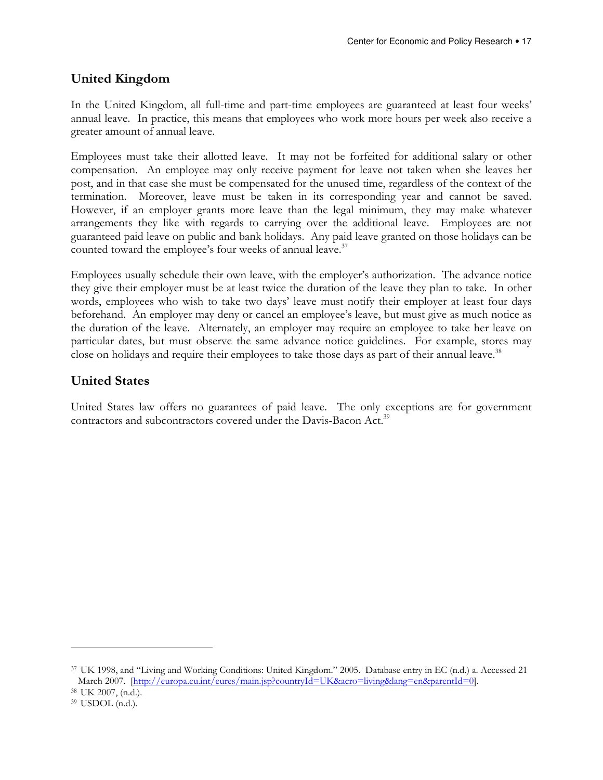#### United Kingdom

In the United Kingdom, all full-time and part-time employees are guaranteed at least four weeks' annual leave. In practice, this means that employees who work more hours per week also receive a greater amount of annual leave.

Employees must take their allotted leave. It may not be forfeited for additional salary or other compensation. An employee may only receive payment for leave not taken when she leaves her post, and in that case she must be compensated for the unused time, regardless of the context of the termination. Moreover, leave must be taken in its corresponding year and cannot be saved. However, if an employer grants more leave than the legal minimum, they may make whatever arrangements they like with regards to carrying over the additional leave. Employees are not guaranteed paid leave on public and bank holidays. Any paid leave granted on those holidays can be counted toward the employee's four weeks of annual leave.<sup>37</sup>

Employees usually schedule their own leave, with the employer's authorization. The advance notice they give their employer must be at least twice the duration of the leave they plan to take. In other words, employees who wish to take two days' leave must notify their employer at least four days beforehand. An employer may deny or cancel an employee's leave, but must give as much notice as the duration of the leave. Alternately, an employer may require an employee to take her leave on particular dates, but must observe the same advance notice guidelines. For example, stores may close on holidays and require their employees to take those days as part of their annual leave.<sup>38</sup>

#### United States

United States law offers no guarantees of paid leave. The only exceptions are for government contractors and subcontractors covered under the Davis-Bacon Act.<sup>39</sup>

<sup>37</sup> UK 1998, and "Living and Working Conditions: United Kingdom." 2005. Database entry in EC (n.d.) a. Accessed 21 March 2007. [http://europa.eu.int/eures/main.jsp?countryId=UK&acro=living&lang=en&parentId=0].

<sup>38</sup> UK 2007, (n.d.).

<sup>39</sup> USDOL (n.d.).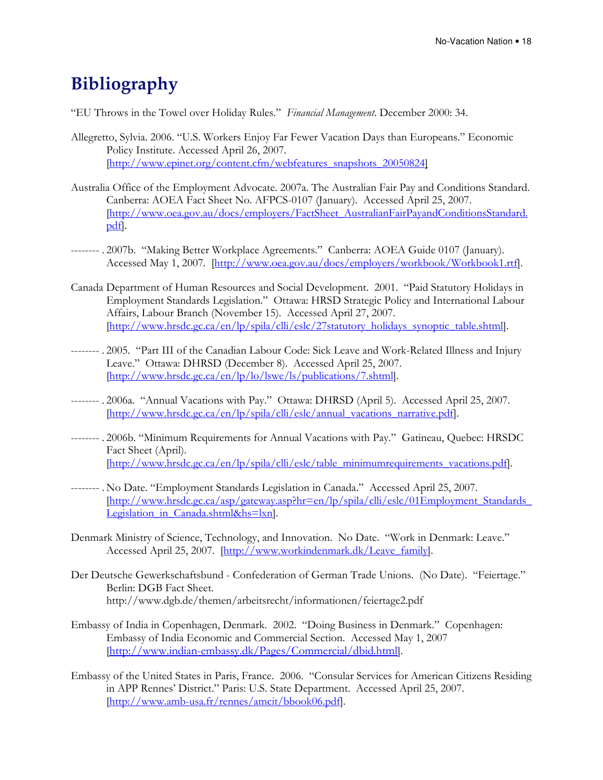## Bibliography

"EU Throws in the Towel over Holiday Rules." Financial Management. December 2000: 34.

- Allegretto, Sylvia. 2006. "U.S. Workers Enjoy Far Fewer Vacation Days than Europeans." Economic Policy Institute. Accessed April 26, 2007. [http://www.epinet.org/content.cfm/webfeatures\_snapshots\_20050824]
- Australia Office of the Employment Advocate. 2007a. The Australian Fair Pay and Conditions Standard. Canberra: AOEA Fact Sheet No. AFPCS-0107 (January). Accessed April 25, 2007. [http://www.oea.gov.au/docs/employers/FactSheet\_AustralianFairPayandConditionsStandard. pdf].
- -------- . 2007b. "Making Better Workplace Agreements." Canberra: AOEA Guide 0107 (January). Accessed May 1, 2007. [http://www.oea.gov.au/docs/employers/workbook/Workbook1.rtf].
- Canada Department of Human Resources and Social Development. 2001. "Paid Statutory Holidays in Employment Standards Legislation." Ottawa: HRSD Strategic Policy and International Labour Affairs, Labour Branch (November 15). Accessed April 27, 2007. [http://www.hrsdc.gc.ca/en/lp/spila/clli/eslc/27statutory\_holidays\_synoptic\_table.shtml].
- -------- . 2005. "Part III of the Canadian Labour Code: Sick Leave and Work-Related Illness and Injury Leave." Ottawa: DHRSD (December 8). Accessed April 25, 2007. [http://www.hrsdc.gc.ca/en/lp/lo/lswe/ls/publications/7.shtml].
- -------- . 2006a. "Annual Vacations with Pay." Ottawa: DHRSD (April 5). Accessed April 25, 2007. [http://www.hrsdc.gc.ca/en/lp/spila/clli/eslc/annual\_vacations\_narrative.pdf].
- -------- . 2006b. "Minimum Requirements for Annual Vacations with Pay." Gatineau, Quebec: HRSDC Fact Sheet (April). [http://www.hrsdc.gc.ca/en/lp/spila/clli/eslc/table\_minimumrequirements\_vacations.pdf].
- -------- . No Date. "Employment Standards Legislation in Canada." Accessed April 25, 2007. [http://www.hrsdc.gc.ca/asp/gateway.asp?hr=en/lp/spila/clli/eslc/01Employment\_Standards\_ Legislation\_in\_Canada.shtml&hs=lxn].
- Denmark Ministry of Science, Technology, and Innovation. No Date. "Work in Denmark: Leave." Accessed April 25, 2007. [http://www.workindenmark.dk/Leave\_family].
- Der Deutsche Gewerkschaftsbund Confederation of German Trade Unions. (No Date). "Feiertage." Berlin: DGB Fact Sheet. http://www.dgb.de/themen/arbeitsrecht/informationen/feiertage2.pdf
- Embassy of India in Copenhagen, Denmark. 2002. "Doing Business in Denmark." Copenhagen: Embassy of India Economic and Commercial Section. Accessed May 1, 2007 [http://www.indian-embassy.dk/Pages/Commercial/dbid.html].
- Embassy of the United States in Paris, France. 2006. "Consular Services for American Citizens Residing in APP Rennes' District." Paris: U.S. State Department. Accessed April 25, 2007. [http://www.amb-usa.fr/rennes/amcit/bbook06.pdf].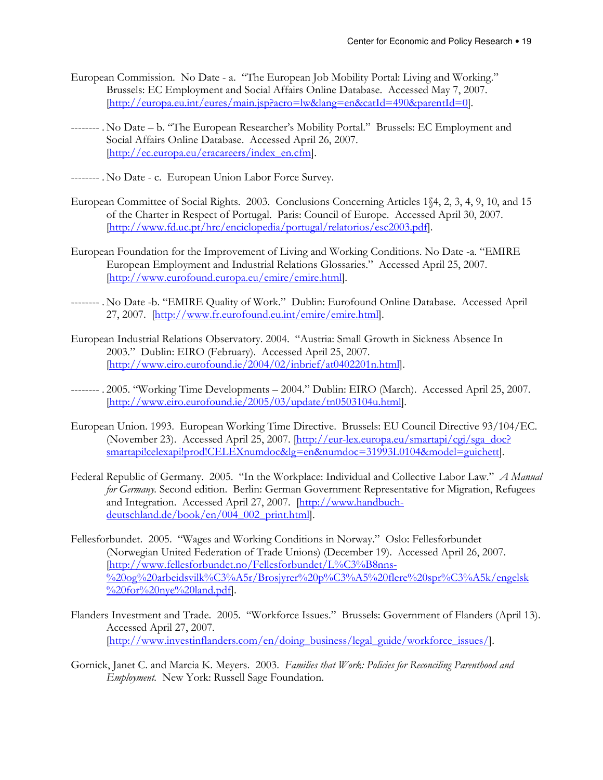- European Commission. No Date a. "The European Job Mobility Portal: Living and Working." Brussels: EC Employment and Social Affairs Online Database. Accessed May 7, 2007. [http://europa.eu.int/eures/main.jsp?acro=lw&lang=en&catId=490&parentId=0].
- -------- . No Date b. "The European Researcher's Mobility Portal." Brussels: EC Employment and Social Affairs Online Database. Accessed April 26, 2007. [http://ec.europa.eu/eracareers/index\_en.cfm].
- -------- . No Date c. European Union Labor Force Survey.
- European Committee of Social Rights. 2003. Conclusions Concerning Articles 1§4, 2, 3, 4, 9, 10, and 15 of the Charter in Respect of Portugal. Paris: Council of Europe. Accessed April 30, 2007. [http://www.fd.uc.pt/hrc/enciclopedia/portugal/relatorios/esc2003.pdf].
- European Foundation for the Improvement of Living and Working Conditions. No Date -a. "EMIRE European Employment and Industrial Relations Glossaries." Accessed April 25, 2007. [http://www.eurofound.europa.eu/emire/emire.html].
- -------- . No Date -b. "EMIRE Quality of Work." Dublin: Eurofound Online Database. Accessed April 27, 2007. [http://www.fr.eurofound.eu.int/emire/emire.html].
- European Industrial Relations Observatory. 2004. "Austria: Small Growth in Sickness Absence In 2003." Dublin: EIRO (February). Accessed April 25, 2007. [http://www.eiro.eurofound.ie/2004/02/inbrief/at0402201n.html].
- -------- . 2005. "Working Time Developments 2004." Dublin: EIRO (March). Accessed April 25, 2007. [http://www.eiro.eurofound.ie/2005/03/update/tn0503104u.html].
- European Union. 1993. European Working Time Directive. Brussels: EU Council Directive 93/104/EC. (November 23). Accessed April 25, 2007. [http://eur-lex.europa.eu/smartapi/cgi/sga\_doc? smartapi!celexapi!prod!CELEXnumdoc&lg=en&numdoc=31993L0104&model=guichett].
- Federal Republic of Germany. 2005. "In the Workplace: Individual and Collective Labor Law." A Manual for Germany. Second edition. Berlin: German Government Representative for Migration, Refugees and Integration. Accessed April 27, 2007. [http://www.handbuchdeutschland.de/book/en/004\_002\_print.html].
- Fellesforbundet. 2005. "Wages and Working Conditions in Norway." Oslo: Fellesforbundet (Norwegian United Federation of Trade Unions) (December 19). Accessed April 26, 2007. [http://www.fellesforbundet.no/Fellesforbundet/L%C3%B8nns-  $\frac{1}{200}$ og%20arbeidsvilk%C3%A5r/Brosjyrer%20p%C3%A5%20flere%20spr%C3%A5k/engelsk %20for%20nye%20land.pdf].
- Flanders Investment and Trade. 2005. "Workforce Issues." Brussels: Government of Flanders (April 13). Accessed April 27, 2007. [http://www.investinflanders.com/en/doing\_business/legal\_guide/workforce\_issues/].
- Gornick, Janet C. and Marcia K. Meyers. 2003. Families that Work: Policies for Reconciling Parenthood and Employment. New York: Russell Sage Foundation.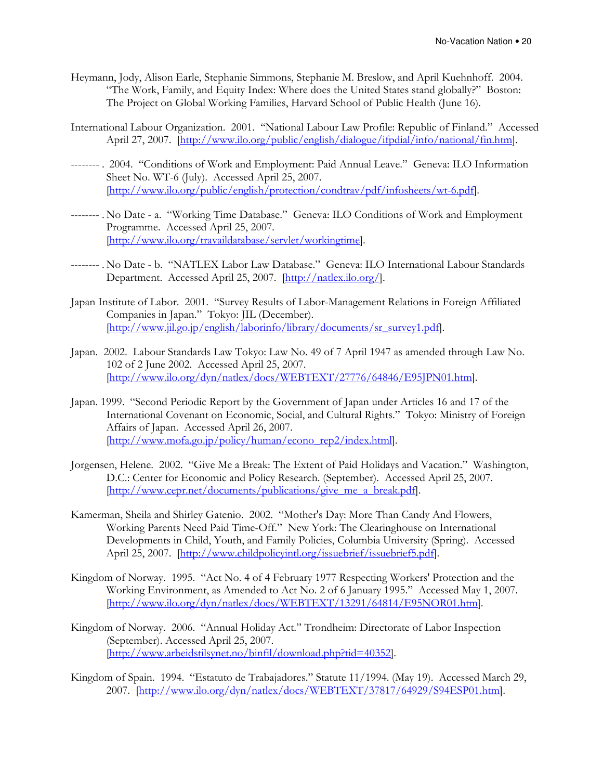- Heymann, Jody, Alison Earle, Stephanie Simmons, Stephanie M. Breslow, and April Kuehnhoff. 2004. "The Work, Family, and Equity Index: Where does the United States stand globally?" Boston: The Project on Global Working Families, Harvard School of Public Health (June 16).
- International Labour Organization. 2001. "National Labour Law Profile: Republic of Finland." Accessed April 27, 2007. [http://www.ilo.org/public/english/dialogue/ifpdial/info/national/fin.htm].
- -------- . 2004. "Conditions of Work and Employment: Paid Annual Leave." Geneva: ILO Information Sheet No. WT-6 (July). Accessed April 25, 2007. [http://www.ilo.org/public/english/protection/condtrav/pdf/infosheets/wt-6.pdf].
- -------- . No Date a. "Working Time Database." Geneva: ILO Conditions of Work and Employment Programme. Accessed April 25, 2007. [http://www.ilo.org/travaildatabase/servlet/workingtime].
- -------- . No Date b. "NATLEX Labor Law Database." Geneva: ILO International Labour Standards Department. Accessed April 25, 2007. [http://natlex.ilo.org/].
- Japan Institute of Labor. 2001. "Survey Results of Labor-Management Relations in Foreign Affiliated Companies in Japan." Tokyo: JIL (December). [http://www.jil.go.jp/english/laborinfo/library/documents/sr\_survey1.pdf].
- Japan. 2002. Labour Standards Law Tokyo: Law No. 49 of 7 April 1947 as amended through Law No. 102 of 2 June 2002. Accessed April 25, 2007. [http://www.ilo.org/dyn/natlex/docs/WEBTEXT/27776/64846/E95JPN01.htm].
- Japan. 1999. "Second Periodic Report by the Government of Japan under Articles 16 and 17 of the International Covenant on Economic, Social, and Cultural Rights." Tokyo: Ministry of Foreign Affairs of Japan. Accessed April 26, 2007. [http://www.mofa.go.jp/policy/human/econo\_rep2/index.html].
- Jorgensen, Helene. 2002. "Give Me a Break: The Extent of Paid Holidays and Vacation." Washington, D.C.: Center for Economic and Policy Research. (September). Accessed April 25, 2007. [http://www.cepr.net/documents/publications/give\_me\_a\_break.pdf].
- Kamerman, Sheila and Shirley Gatenio. 2002. "Mother's Day: More Than Candy And Flowers, Working Parents Need Paid Time-Off." New York: The Clearinghouse on International Developments in Child, Youth, and Family Policies, Columbia University (Spring). Accessed April 25, 2007. [http://www.childpolicyintl.org/issuebrief/issuebrief5.pdf].
- Kingdom of Norway. 1995. "Act No. 4 of 4 February 1977 Respecting Workers' Protection and the Working Environment, as Amended to Act No. 2 of 6 January 1995." Accessed May 1, 2007. [http://www.ilo.org/dyn/natlex/docs/WEBTEXT/13291/64814/E95NOR01.htm].
- Kingdom of Norway. 2006. "Annual Holiday Act." Trondheim: Directorate of Labor Inspection (September). Accessed April 25, 2007. [http://www.arbeidstilsynet.no/binfil/download.php?tid=40352].
- Kingdom of Spain. 1994. "Estatuto de Trabajadores." Statute 11/1994. (May 19). Accessed March 29, 2007. [http://www.ilo.org/dyn/natlex/docs/WEBTEXT/37817/64929/S94ESP01.htm].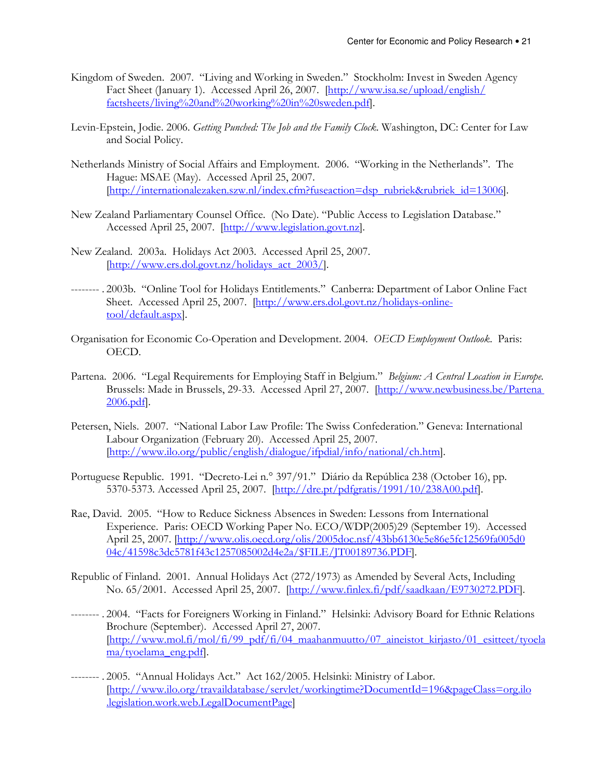- Kingdom of Sweden. 2007. "Living and Working in Sweden." Stockholm: Invest in Sweden Agency Fact Sheet (January 1). Accessed April 26, 2007. [http://www.isa.se/upload/english/ factsheets/living%20and%20working%20in%20sweden.pdf].
- Levin-Epstein, Jodie. 2006. Getting Punched: The Job and the Family Clock. Washington, DC: Center for Law and Social Policy.
- Netherlands Ministry of Social Affairs and Employment. 2006. "Working in the Netherlands". The Hague: MSAE (May). Accessed April 25, 2007. [http://internationalezaken.szw.nl/index.cfm?fuseaction=dsp\_rubriek&rubriek\_id=13006].
- New Zealand Parliamentary Counsel Office. (No Date). "Public Access to Legislation Database." Accessed April 25, 2007. [http://www.legislation.govt.nz].
- New Zealand. 2003a. Holidays Act 2003. Accessed April 25, 2007. [http://www.ers.dol.govt.nz/holidays\_act\_2003/].
- -------- . 2003b. "Online Tool for Holidays Entitlements." Canberra: Department of Labor Online Fact Sheet. Accessed April 25, 2007. [http://www.ers.dol.govt.nz/holidays-onlinetool/default.aspx].
- Organisation for Economic Co-Operation and Development. 2004. OECD Employment Outlook. Paris: OECD.
- Partena. 2006. "Legal Requirements for Employing Staff in Belgium." Belgium: A Central Location in Europe. Brussels: Made in Brussels, 29-33. Accessed April 27, 2007. [http://www.newbusiness.be/Partena 2006.pdf].
- Petersen, Niels. 2007. "National Labor Law Profile: The Swiss Confederation." Geneva: International Labour Organization (February 20). Accessed April 25, 2007. [http://www.ilo.org/public/english/dialogue/ifpdial/info/national/ch.htm].
- Portuguese Republic. 1991. "Decreto-Lei n.° 397/91." Diário da República 238 (October 16), pp. 5370-5373. Accessed April 25, 2007. [http://dre.pt/pdfgratis/1991/10/238A00.pdf].
- Rae, David. 2005. "How to Reduce Sickness Absences in Sweden: Lessons from International Experience. Paris: OECD Working Paper No. ECO/WDP(2005)29 (September 19). Accessed April 25, 2007. [http://www.olis.oecd.org/olis/2005doc.nsf/43bb6130e5e86e5fc12569fa005d0 04c/41598c3dc5781f43c1257085002d4e2a/\$FILE/JT00189736.PDF].
- Republic of Finland. 2001. Annual Holidays Act (272/1973) as Amended by Several Acts, Including No. 65/2001. Accessed April 25, 2007. [http://www.finlex.fi/pdf/saadkaan/E9730272.PDF].
- -------- . 2004. "Facts for Foreigners Working in Finland." Helsinki: Advisory Board for Ethnic Relations Brochure (September). Accessed April 27, 2007. [http://www.mol.fi/mol/fi/99\_pdf/fi/04\_maahanmuutto/07\_aineistot\_kirjasto/01\_esitteet/tyoela ma/tyoelama\_eng.pdf].
- -------- . 2005. "Annual Holidays Act." Act 162/2005. Helsinki: Ministry of Labor. [http://www.ilo.org/travaildatabase/servlet/workingtime?DocumentId=196&pageClass=org.ilo .legislation.work.web.LegalDocumentPage]